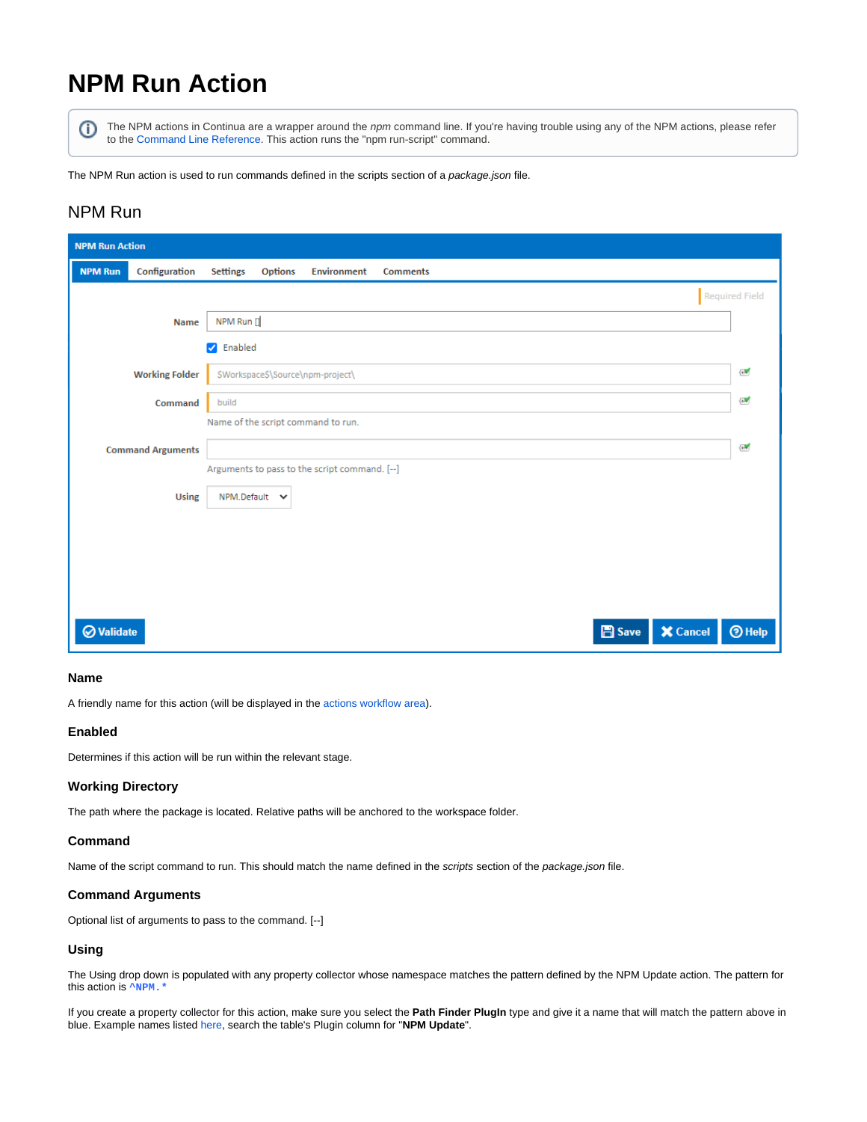# **NPM Run Action**

G)

The NPM actions in Continua are a wrapper around the npm command line. If you're having trouble using any of the NPM actions, please refer to the [Command Line Reference](https://docs.npmjs.com/cli-documentation/cli). This action runs the "npm run-script" command.

The NPM Run action is used to run commands defined in the scripts section of a package.json file.

### NPM Run

| <b>NPM Run Action</b> |                          |                                                                            |                |  |  |  |  |  |
|-----------------------|--------------------------|----------------------------------------------------------------------------|----------------|--|--|--|--|--|
| <b>NPM Run</b>        | Configuration            | <b>Settings</b><br><b>Options</b><br><b>Environment</b><br><b>Comments</b> |                |  |  |  |  |  |
|                       |                          |                                                                            | Required Field |  |  |  |  |  |
|                       | <b>Name</b>              | NPM Run []                                                                 |                |  |  |  |  |  |
|                       |                          | <b>V</b> Enabled                                                           |                |  |  |  |  |  |
|                       | <b>Working Folder</b>    | \$Workspace\$\Source\npm-project\                                          | Ø              |  |  |  |  |  |
|                       | Command                  | build                                                                      | Ø.             |  |  |  |  |  |
|                       |                          | Name of the script command to run.                                         |                |  |  |  |  |  |
|                       | <b>Command Arguments</b> |                                                                            | Í              |  |  |  |  |  |
|                       |                          | Arguments to pass to the script command. [--]                              |                |  |  |  |  |  |
|                       | <b>Using</b>             | $NPM.Default \quad \forall$                                                |                |  |  |  |  |  |
|                       |                          |                                                                            |                |  |  |  |  |  |
|                       |                          |                                                                            |                |  |  |  |  |  |
|                       |                          |                                                                            |                |  |  |  |  |  |
|                       |                          |                                                                            |                |  |  |  |  |  |
| <b>⊘</b> Validate     |                          | <b>X</b> Cancel<br><b>圖</b> Save                                           | $③$ Help       |  |  |  |  |  |

### **Name**

A friendly name for this action (will be displayed in the [actions workflow area\)](http://wiki.finalbuilder.com/display/continua/Actions).

### **Enabled**

Determines if this action will be run within the relevant stage.

### **Working Directory**

The path where the package is located. Relative paths will be anchored to the workspace folder.

### **Command**

Name of the script command to run. This should match the name defined in the scripts section of the package.json file.

### **Command Arguments**

Optional list of arguments to pass to the command. [--]

### **Using**

The Using drop down is populated with any property collector whose namespace matches the pattern defined by the NPM Update action. The pattern for this action is **^NPM.**\*

If you create a property collector for this action, make sure you select the **Path Finder PlugIn** type and give it a name that will match the pattern above in blue. Example names listed [here,](https://wiki.finalbuilder.com/display/continua/Property+Collectors#PropertyCollectors-Actions.2) search the table's Plugin column for "**NPM Update**".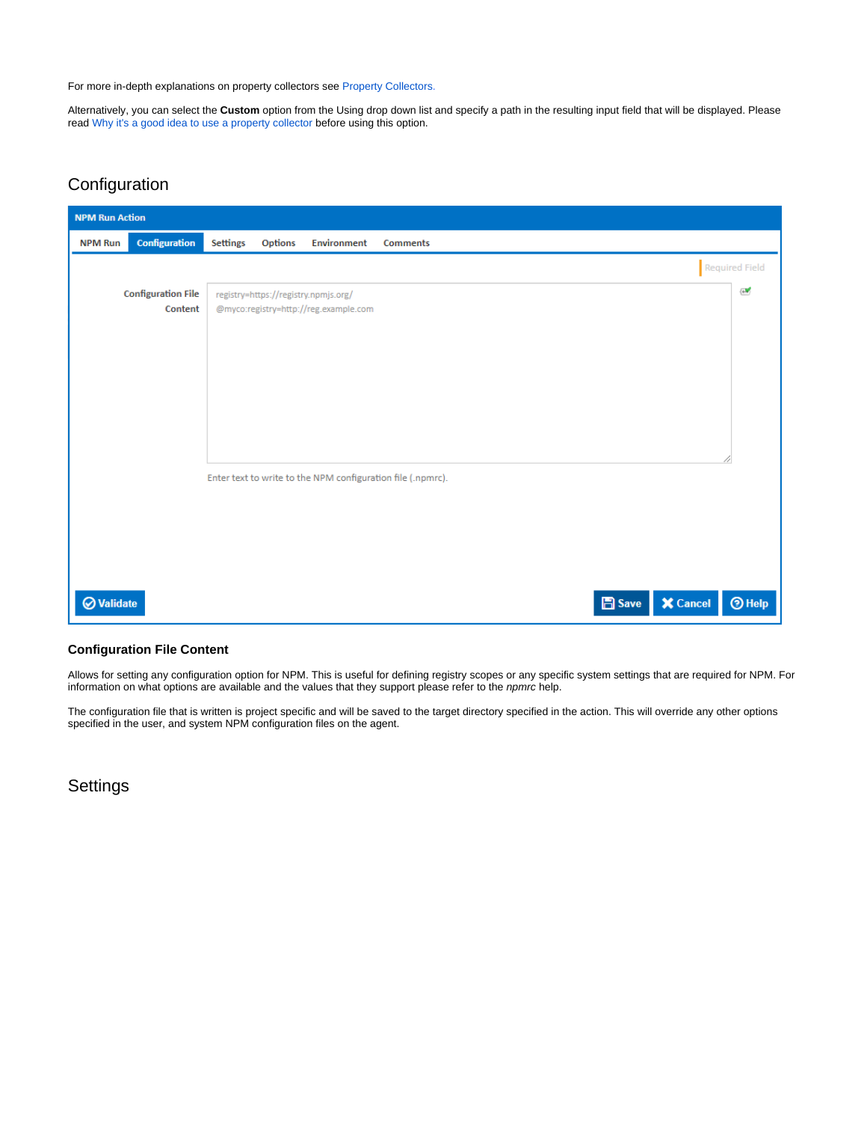For more in-depth explanations on property collectors see [Property Collectors.](http://wiki.finalbuilder.com/display/continua/Property+Collectors)

Alternatively, you can select the **Custom** option from the Using drop down list and specify a path in the resulting input field that will be displayed. Please read Why it's a good idea to use a property collector before using this option.

## Configuration

| <b>NPM Run Action</b> |                           |                 |                                      |                                       |                                                             |  |  |               |                 |                       |
|-----------------------|---------------------------|-----------------|--------------------------------------|---------------------------------------|-------------------------------------------------------------|--|--|---------------|-----------------|-----------------------|
| <b>NPM Run</b>        | <b>Configuration</b>      | <b>Settings</b> | Options                              | Environment                           | <b>Comments</b>                                             |  |  |               |                 |                       |
|                       |                           |                 |                                      |                                       |                                                             |  |  |               |                 | <b>Required Field</b> |
|                       | <b>Configuration File</b> |                 | registry=https://registry.npmjs.org/ |                                       |                                                             |  |  |               |                 | ₩                     |
|                       | Content                   |                 |                                      | @myco:registry=http://reg.example.com |                                                             |  |  |               |                 |                       |
|                       |                           |                 |                                      |                                       |                                                             |  |  |               |                 |                       |
|                       |                           |                 |                                      |                                       |                                                             |  |  |               |                 |                       |
|                       |                           |                 |                                      |                                       |                                                             |  |  |               |                 |                       |
|                       |                           |                 |                                      |                                       |                                                             |  |  |               |                 |                       |
|                       |                           |                 |                                      |                                       |                                                             |  |  |               |                 |                       |
|                       |                           |                 |                                      |                                       |                                                             |  |  |               |                 |                       |
|                       |                           |                 |                                      |                                       | Enter text to write to the NPM configuration file (.npmrc). |  |  |               |                 |                       |
|                       |                           |                 |                                      |                                       |                                                             |  |  |               |                 |                       |
|                       |                           |                 |                                      |                                       |                                                             |  |  |               |                 |                       |
|                       |                           |                 |                                      |                                       |                                                             |  |  |               |                 |                       |
|                       |                           |                 |                                      |                                       |                                                             |  |  |               |                 |                       |
| <b>⊘</b> Validate     |                           |                 |                                      |                                       |                                                             |  |  | <b>圖</b> Save | <b>X</b> Cancel | $③$ Help              |
|                       |                           |                 |                                      |                                       |                                                             |  |  |               |                 |                       |

### **Configuration File Content**

Allows for setting any configuration option for NPM. This is useful for defining registry scopes or any specific system settings that are required for NPM. For information on what options are available and the values that they support please refer to the npmrc help.

The configuration file that is written is project specific and will be saved to the target directory specified in the action. This will override any other options specified in the user, and system NPM configuration files on the agent.

**Settings**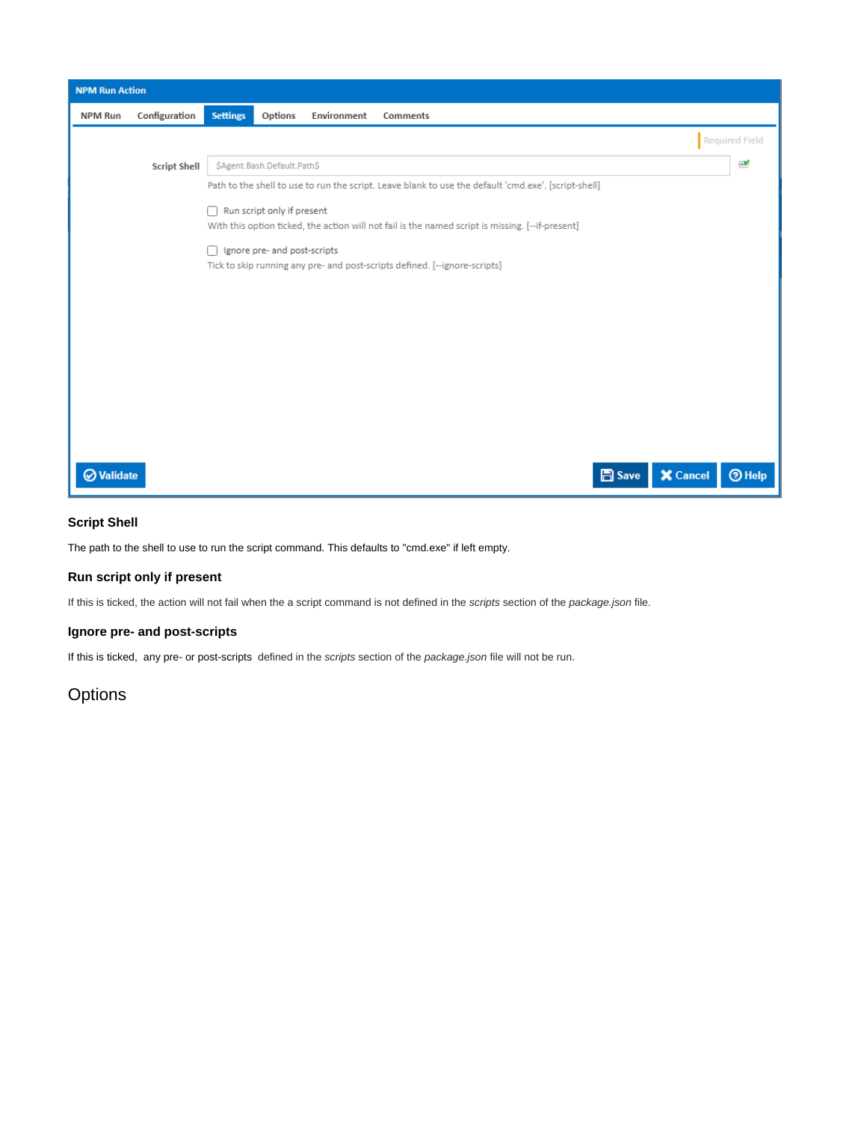

### **Script Shell**

The path to the shell to use to run the script command. This defaults to "cmd.exe" if left empty.

### **Run script only if present**

If this is ticked, the action will not fail when the a script command is not defined in the scripts section of the package.json file.

### **Ignore pre- and post-scripts**

If this is ticked, any pre- or post-scripts defined in the scripts section of the package.json file will not be run.

# **Options**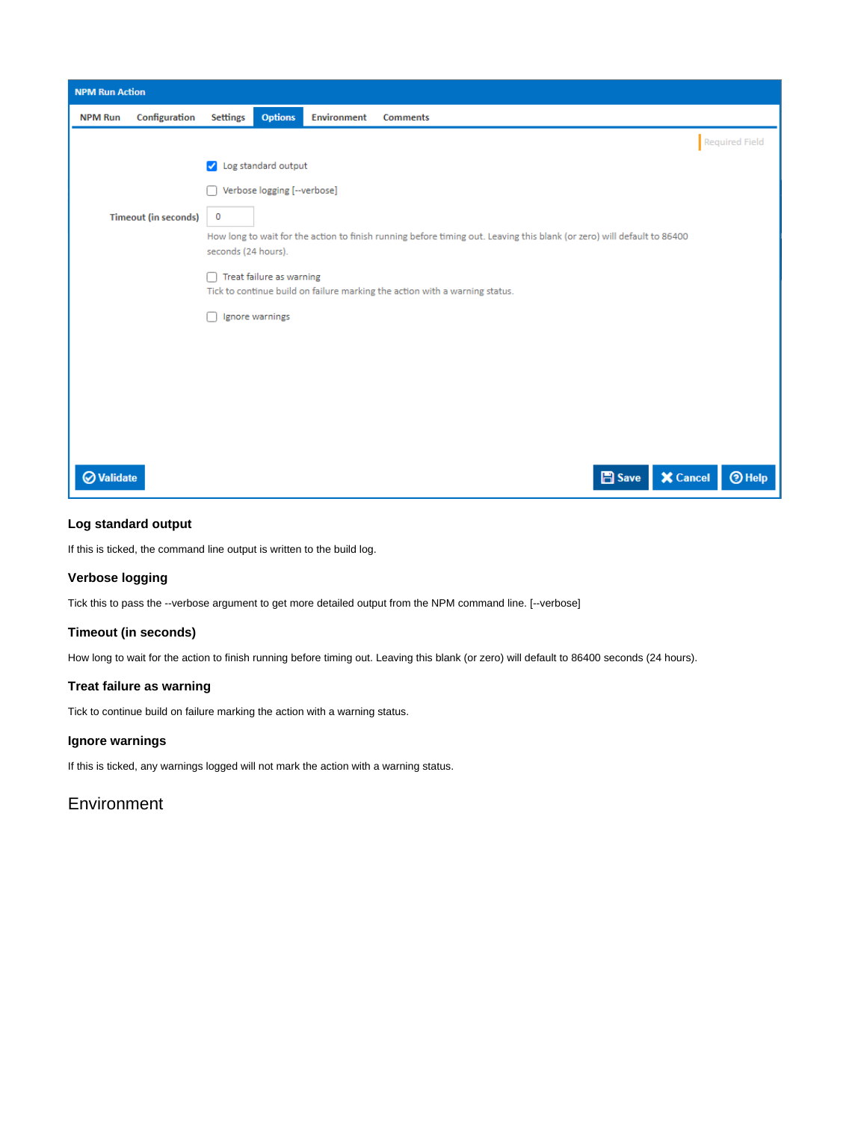

### **Log standard output**

If this is ticked, the command line output is written to the build log.

### **Verbose logging**

Tick this to pass the --verbose argument to get more detailed output from the NPM command line. [--verbose]

### **Timeout (in seconds)**

How long to wait for the action to finish running before timing out. Leaving this blank (or zero) will default to 86400 seconds (24 hours).

### **Treat failure as warning**

Tick to continue build on failure marking the action with a warning status.

### **Ignore warnings**

If this is ticked, any warnings logged will not mark the action with a warning status.

### **Environment**